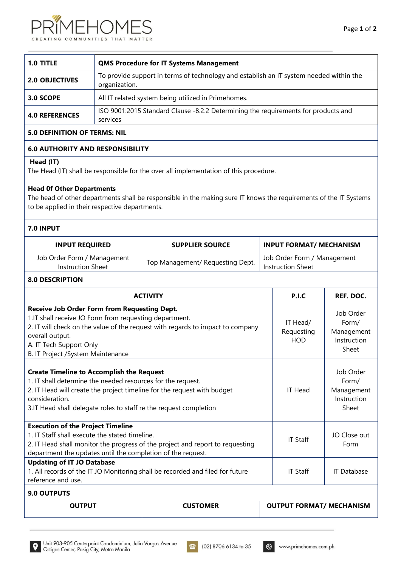



| 1.0 TITLE             | <b>QMS Procedure for IT Systems Management</b>                                                          |
|-----------------------|---------------------------------------------------------------------------------------------------------|
| <b>2.0 OBJECTIVES</b> | To provide support in terms of technology and establish an IT system needed within the<br>organization. |
| 3.0 SCOPE             | All IT related system being utilized in Primehomes.                                                     |
| <b>4.0 REFERENCES</b> | ISO 9001:2015 Standard Clause -8.2.2 Determining the requirements for products and<br>services          |

# **5.0 DEFINITION OF TERMS: NIL**

# **6.0 AUTHORITY AND RESPONSIBILITY**

## **Head (IT)**

The Head (IT) shall be responsible for the over all implementation of this procedure.

## **Head 0f Other Departments**

The head of other departments shall be responsible in the making sure IT knows the requirements of the IT Systems to be applied in their respective departments.

# **7.0 INPUT**

| <b>INPUT REQUIRED</b>                            | <b>SUPPLIER SOURCE</b>           | <b>INPUT FORMAT/ MECHANISM</b>                   |
|--------------------------------------------------|----------------------------------|--------------------------------------------------|
| Job Order Form / Management<br>Instruction Sheet | Top Management/ Requesting Dept. | Job Order Form / Management<br>Instruction Sheet |

## **8.0 DESCRIPTION**

| <b>ACTIVITY</b>                                                                                                                                                                                                                                                                    | P.I.C                                | <b>REF. DOC.</b>                                         |  |  |
|------------------------------------------------------------------------------------------------------------------------------------------------------------------------------------------------------------------------------------------------------------------------------------|--------------------------------------|----------------------------------------------------------|--|--|
| <b>Receive Job Order Form from Requesting Dept.</b><br>1.IT shall receive JO Form from requesting department.<br>2. IT will check on the value of the request with regards to impact to company<br>overall output.<br>A. IT Tech Support Only<br>B. IT Project /System Maintenance | IT Head/<br>Requesting<br><b>HOD</b> | Job Order<br>Form/<br>Management<br>Instruction<br>Sheet |  |  |
| <b>Create Timeline to Accomplish the Request</b><br>1. IT shall determine the needed resources for the request.<br>2. IT Head will create the project timeline for the request with budget<br>consideration.<br>3. IT Head shall delegate roles to staff re the request completion | IT Head                              | Job Order<br>Form/<br>Management<br>Instruction<br>Sheet |  |  |
| <b>Execution of the Project Timeline</b><br>1. IT Staff shall execute the stated timeline.<br>2. IT Head shall monitor the progress of the project and report to requesting<br>department the updates until the completion of the request.                                         | <b>IT Staff</b>                      | JO Close out<br>Form                                     |  |  |
| <b>Updating of IT JO Database</b><br>1. All records of the IT JO Monitoring shall be recorded and filed for future<br>reference and use.                                                                                                                                           | <b>IT Staff</b>                      | IT Database                                              |  |  |
| 9.0 OUTPUTS                                                                                                                                                                                                                                                                        |                                      |                                                          |  |  |
| <b>OUTPUT</b>                                                                                                                                                                                                                                                                      | <b>CUSTOMER</b>                      | <b>OUTPUT FORMAT/ MECHANISM</b>                          |  |  |



⊗